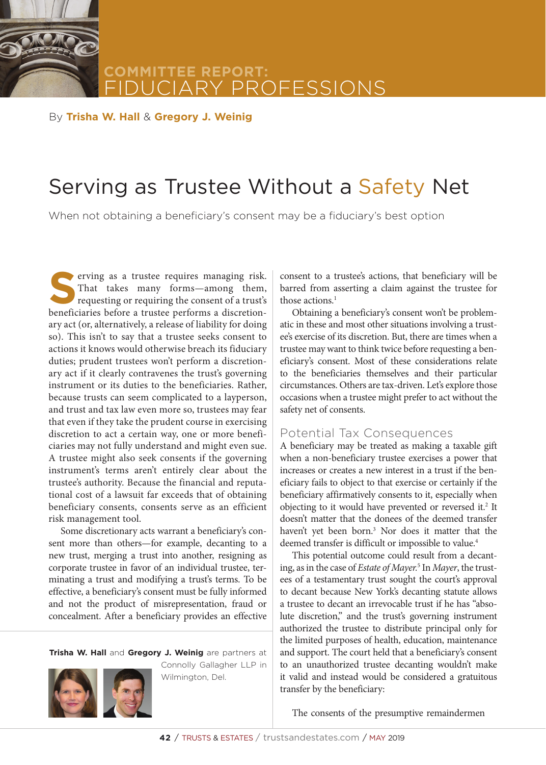**COMMITTEE REPORT:** FESSIONS

By **Trisha W. Hall** & **Gregory J. Weinig**

# Serving as Trustee Without a Safety Net

When not obtaining a beneficiary's consent may be a fiduciary's best option

**S**erving as a trustee requires managing risk.<br>
That takes many forms—among them,<br>
requesting or requiring the consent of a trust's<br>
heneficiaries before a trustee performs a discretion-That takes many forms—among them, beneficiaries before a trustee performs a discretionary act (or, alternatively, a release of liability for doing so). This isn't to say that a trustee seeks consent to actions it knows would otherwise breach its fiduciary duties; prudent trustees won't perform a discretionary act if it clearly contravenes the trust's governing instrument or its duties to the beneficiaries. Rather, because trusts can seem complicated to a layperson, and trust and tax law even more so, trustees may fear that even if they take the prudent course in exercising discretion to act a certain way, one or more beneficiaries may not fully understand and might even sue. A trustee might also seek consents if the governing instrument's terms aren't entirely clear about the trustee's authority. Because the financial and reputational cost of a lawsuit far exceeds that of obtaining beneficiary consents, consents serve as an efficient risk management tool.

Some discretionary acts warrant a beneficiary's consent more than others—for example, decanting to a new trust, merging a trust into another, resigning as corporate trustee in favor of an individual trustee, terminating a trust and modifying a trust's terms. To be effective, a beneficiary's consent must be fully informed and not the product of misrepresentation, fraud or concealment. After a beneficiary provides an effective

**Trisha W. Hall** and **Gregory J. Weinig** are partners at



Connolly Gallagher LLP in Wilmington, Del.

consent to a trustee's actions, that beneficiary will be barred from asserting a claim against the trustee for those actions.<sup>1</sup>

Obtaining a beneficiary's consent won't be problematic in these and most other situations involving a trustee's exercise of its discretion. But, there are times when a trustee may want to think twice before requesting a beneficiary's consent. Most of these considerations relate to the beneficiaries themselves and their particular circumstances. Others are tax-driven. Let's explore those occasions when a trustee might prefer to act without the safety net of consents.

#### Potential Tax Consequences

A beneficiary may be treated as making a taxable gift when a non-beneficiary trustee exercises a power that increases or creates a new interest in a trust if the beneficiary fails to object to that exercise or certainly if the beneficiary affirmatively consents to it, especially when objecting to it would have prevented or reversed it.<sup>2</sup> It doesn't matter that the donees of the deemed transfer haven't yet been born.<sup>3</sup> Nor does it matter that the deemed transfer is difficult or impossible to value.<sup>4</sup>

This potential outcome could result from a decanting, as in the case of *Estate of Mayer.*<sup>5</sup> In *Mayer*, the trustees of a testamentary trust sought the court's approval to decant because New York's decanting statute allows a trustee to decant an irrevocable trust if he has "absolute discretion," and the trust's governing instrument authorized the trustee to distribute principal only for the limited purposes of health, education, maintenance and support. The court held that a beneficiary's consent to an unauthorized trustee decanting wouldn't make it valid and instead would be considered a gratuitous transfer by the beneficiary:

The consents of the presumptive remaindermen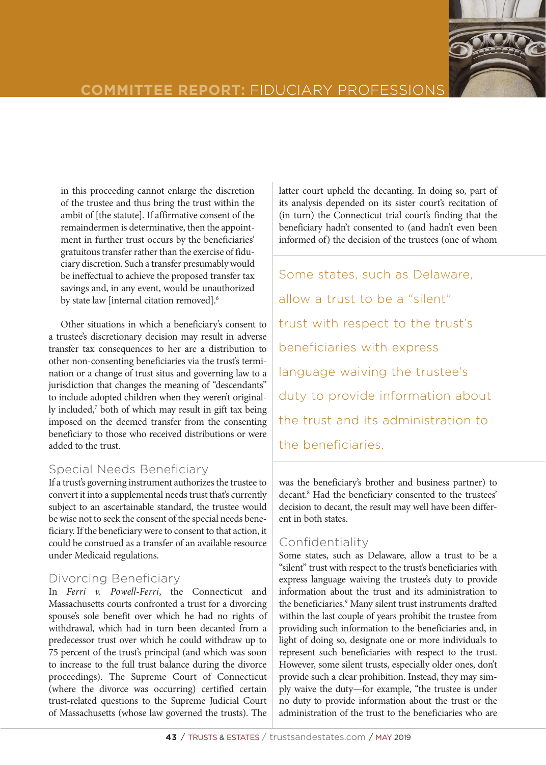

# **COMMITTEE REPORT: FIDUCIARY PROFESSION**

in this proceeding cannot enlarge the discretion of the trustee and thus bring the trust within the ambit of [the statute]. If affirmative consent of the remaindermen is determinative, then the appointment in further trust occurs by the beneficiaries' gratuitous transfer rather than the exercise of fiduciary discretion. Such a transfer presumably would be ineffectual to achieve the proposed transfer tax savings and, in any event, would be unauthorized by state law [internal citation removed].<sup>6</sup>

Other situations in which a beneficiary's consent to a trustee's discretionary decision may result in adverse transfer tax consequences to her are a distribution to other non-consenting beneficiaries via the trust's termination or a change of trust situs and governing law to a jurisdiction that changes the meaning of "descendants" to include adopted children when they weren't originally included,<sup>7</sup> both of which may result in gift tax being imposed on the deemed transfer from the consenting beneficiary to those who received distributions or were added to the trust.

## Special Needs Beneficiary

If a trust's governing instrument authorizes the trustee to convert it into a supplemental needs trust that's currently subject to an ascertainable standard, the trustee would be wise not to seek the consent of the special needs beneficiary. If the beneficiary were to consent to that action, it could be construed as a transfer of an available resource under Medicaid regulations.

## Divorcing Beneficiary

In *Ferri v. Powell-Ferri*, the Connecticut and Massachusetts courts confronted a trust for a divorcing spouse's sole benefit over which he had no rights of withdrawal, which had in turn been decanted from a predecessor trust over which he could withdraw up to 75 percent of the trust's principal (and which was soon to increase to the full trust balance during the divorce proceedings). The Supreme Court of Connecticut (where the divorce was occurring) certified certain trust-related questions to the Supreme Judicial Court of Massachusetts (whose law governed the trusts). The

latter court upheld the decanting. In doing so, part of its analysis depended on its sister court's recitation of (in turn) the Connecticut trial court's finding that the beneficiary hadn't consented to (and hadn't even been informed of) the decision of the trustees (one of whom

Some states, such as Delaware, allow a trust to be a "silent" trust with respect to the trust's beneficiaries with express language waiving the trustee's duty to provide information about the trust and its administration to the beneficiaries.

was the beneficiary's brother and business partner) to decant.8 Had the beneficiary consented to the trustees' decision to decant, the result may well have been different in both states.

# Confidentiality

Some states, such as Delaware, allow a trust to be a "silent" trust with respect to the trust's beneficiaries with express language waiving the trustee's duty to provide information about the trust and its administration to the beneficiaries.<sup>9</sup> Many silent trust instruments drafted within the last couple of years prohibit the trustee from providing such information to the beneficiaries and, in light of doing so, designate one or more individuals to represent such beneficiaries with respect to the trust. However, some silent trusts, especially older ones, don't provide such a clear prohibition. Instead, they may simply waive the duty—for example, "the trustee is under no duty to provide information about the trust or the administration of the trust to the beneficiaries who are